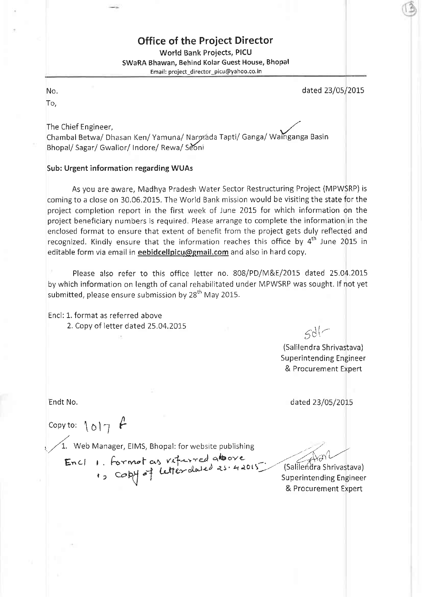## Office of the Project Director

World Bank Proiects, PICU SWaRA Bhawan, Behind Kolar Guest House, Bhopal Email: project\_director\_picu@yahoo.co.in

dated 23/05/2015

No.

To,

The Chief Engineer, Chambal Betwa/ Dhasan Ken/ Yamuna/ Narmada Tapti/ Ganga/ Wainganga Basin Bhopal/ Sagar/ Gwalior/ Indore/ Rewa/ Seoni

## Sub: Urgent information regarding WUAs

As you are aware, Madhya Pradesh Water Sector Restructuring Project (MPWSRP) is coming to a close on 30.06.2015. The World Bank mission would be visiting the state for the project completion report in the first week of June 2015 for which information on the project beneficiary numbers ls required. Please arrange to complete the information in the enclosed format to ensure that extent of benefit from the project gets duly reflected and recognized. Kindly ensure that the information reaches this office by  $4<sup>th</sup>$  June 2015 in editable form via email in eebidcellpicu@gmail.com and also in hard copy.

Please also refer to this office letter no. 808/PD/M&E/2015 dated 25.04.2015 by which information on length of canal rehabilitated under MPWSRP was sought. lf not yet submitted, please ensure submission by 28<sup>th</sup> May 2015.

Encl: L. format as referred above 2. Copy of letter dated 25.04.2015

 $5d$ 

(Salilendra Shrivastava) Superintending Engineer & Procurement Expert

Endt No. dated 23/05/2015

n Copy to:  $\{ \circ \} \gamma$  t-

 $\sqrt{1}$ . Web Manager, EIMS, Bhopal: for website publishing

 $Enc\_\_\_$  formot as viterred above  $r_0$  Co by  $\sigma$  tales are  $\sigma$  -(Superintending Engineer

 $6.1$ (Salilendra Shrivastava)

& Procurement Expert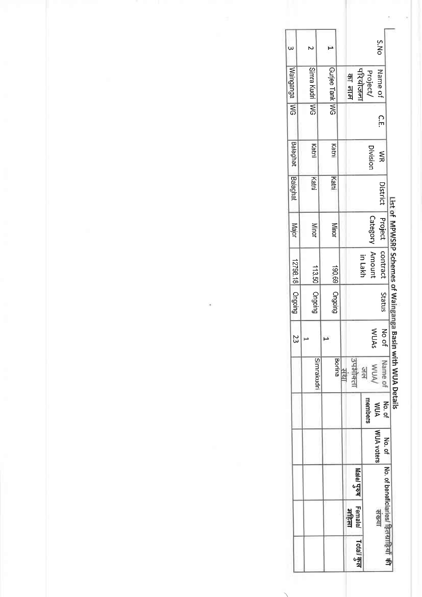|  |                 |             |                        |                    |                                               | B.                                  |
|--|-----------------|-------------|------------------------|--------------------|-----------------------------------------------|-------------------------------------|
|  | $\omega$        | Z           | ۳                      |                    | S.No                                          |                                     |
|  | Wainganga       | Simra Kudri | Gurjee Tank WG         | परियोजना<br>का नाम | Name of<br>Project/                           |                                     |
|  | 58              | 5M          |                        |                    | С.Е.                                          |                                     |
|  | <b>Balaghat</b> | Katni       | Katni                  |                    | Division<br>$\lessapprox$                     |                                     |
|  | <b>Balaghat</b> | Katni       | Katnl                  |                    | District                                      |                                     |
|  | Major           | Minor       | <b>Minor</b>           |                    | Project<br>Category                           | List of MPWSRP Schemes of Wainganga |
|  | 12798.18        | 113.50      | 190.69                 |                    | contract<br><b>Amount</b><br>in Lakh          |                                     |
|  | Ongoing         | Ongoing     | Origolng               |                    | Status                                        |                                     |
|  | 23              | $\mapsto$   | F                      |                    | No of<br>WUAs                                 |                                     |
|  |                 | Simrakudri  | <b>ARSIT</b><br>Borina | उपक्षीकला          | Nume of<br>WUA/<br>516                        | <b>Basin with WUA Details</b>       |
|  |                 |             |                        |                    | members<br>No. of<br><b>MUA</b>               |                                     |
|  |                 |             |                        |                    | WUA voters<br>No. of                          |                                     |
|  |                 |             |                        | Male/ पुरुष        |                                               |                                     |
|  |                 |             |                        | Female/<br>सहिला   | No. of beneficiaries/ हितब्राहियाँ की<br>सङ्ग |                                     |
|  |                 |             |                        | Totall कुल         |                                               |                                     |